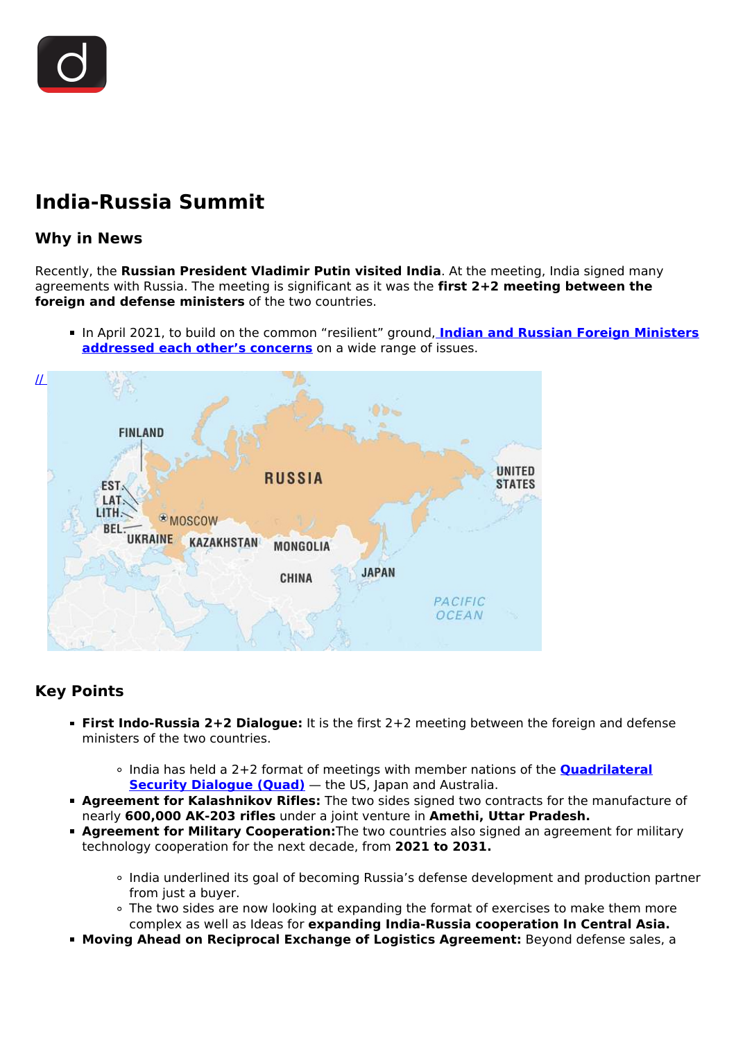# **India-Russia Summit**

# **Why in News**

Recently, the **Russian President Vladimir Putin visited India**. At the meeting, India signed many agreements with Russia. The meeting is significant as it was the **first 2+2 meeting between the foreign and defense ministers** of the two countries.

In April 2021, to build on the common "resilient" ground, **Indian and Russian Foreign Ministers [addressed each other's concerns](/daily-updates/daily-news-analysis/india-russia-foreign-ministers-meet)** on a wide range of issues.



# **Key Points**

- **First Indo-Russia 2+2 Dialogue:** It is the first 2+2 meeting between the foreign and defense ministers of the two countries.
	- India has held a 2+2 format of meetings with member nations of the **[Quadrilateral](/daily-updates/daily-news-editorials/quad-3) [Security Dialogue \(Quad\)](/daily-updates/daily-news-editorials/quad-3)** - the US, Japan and Australia.
- **Agreement for Kalashnikov Rifles:** The two sides signed two contracts for the manufacture of nearly **600,000 AK-203 rifles** under a joint venture in **Amethi, Uttar Pradesh.**
- **Agreement for Military Cooperation:**The two countries also signed an agreement for military technology cooperation for the next decade, from **2021 to 2031.**
	- India underlined its goal of becoming Russia's defense development and production partner from just a buyer.
	- The two sides are now looking at expanding the format of exercises to make them more complex as well as Ideas for **expanding India-Russia cooperation In Central Asia.**
- **Moving Ahead on Reciprocal Exchange of Logistics Agreement:** Beyond defense sales, a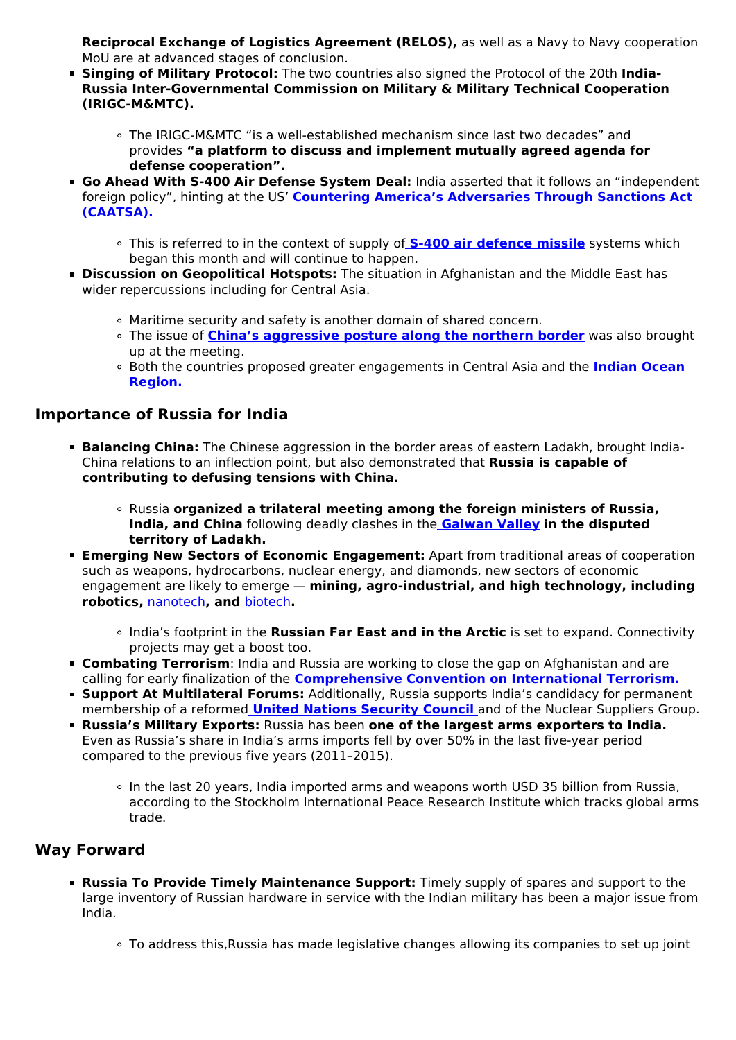**Reciprocal Exchange of Logistics Agreement (RELOS),** as well as a Navy to Navy cooperation MoU are at advanced stages of conclusion.

- **Singing of Military Protocol:** The two countries also signed the Protocol of the 20th **India-Russia Inter-Governmental Commission on Military & Military Technical Cooperation (IRIGC-M&MTC).**
	- The IRIGC-M&MTC "is a well-established mechanism since last two decades" and provides **"a platform to discuss and implement mutually agreed agenda for defense cooperation".**
- **Go Ahead With S-400 Air Defense System Deal:** India asserted that it follows an "independent foreign policy", hinting at the US' **[Countering America's Adversaries Through Sanctions Act](/daily-updates/daily-news-analysis/caatsa-sanctions-on-turkey) [\(CAATSA\).](/daily-updates/daily-news-analysis/caatsa-sanctions-on-turkey)**
	- This is referred to in the context of supply of **[S-400 air defence missile](/daily-updates/daily-news-analysis/s-400-triumf-missile-system)** systems which began this month and will continue to happen.
- **Discussion on Geopolitical Hotspots:** The situation in Afghanistan and the Middle East has wider repercussions including for Central Asia.
	- Maritime security and safety is another domain of shared concern.
	- The issue of **[China's aggressive posture along the northern border](/daily-updates/daily-news-analysis/india-china-conflict)** was also brought up at the meeting.
	- Both the countries proposed greater engagements in Central Asia and the **[Indian Ocean](/daily-updates/daily-news-analysis/7th-edition-of-indian-ocean-naval-symposium) [Region.](/daily-updates/daily-news-analysis/7th-edition-of-indian-ocean-naval-symposium)**

### **Importance of Russia for India**

- **Balancing China:** The Chinese aggression in the border areas of eastern Ladakh, brought India-China relations to an inflection point, but also demonstrated that **Russia is capable of contributing to defusing tensions with China.**
	- Russia **organized a trilateral meeting among the foreign ministers of Russia, India, and China** following deadly clashes in the **[Galwan Valley](/daily-updates/daily-news-editorials/galwan-valley-clash) in the disputed territory of Ladakh.**
- **Emerging New Sectors of Economic Engagement:** Apart from traditional areas of cooperation such as weapons, hydrocarbons, nuclear energy, and diamonds, new sectors of economic engagement are likely to emerge — **mining, agro-industrial, and high technology, including robotics,** [nanotech](/daily-updates/daily-news-analysis/nanotechnology-and-health)**, and** [biotech](/to-the-points/paper3/biotechnology-and-its-applications)**.**
	- o India's footprint in the **Russian Far East and in the Arctic** is set to expand. Connectivity projects may get a boost too.
- **Combating Terrorism**: India and Russia are working to close the gap on Afghanistan and are calling for early finalization of the **[Comprehensive Convention on International Terrorism.](/printpdf/at-unga-india-call-for-early-adoption-of-ccit#:~:text=In%201996%2C%20with%20the%20objective,International%20Terrorism%E2%80%9D%20(CCIT).&text=To%20ban%20all%20terror%20groups%20and%20shut%20down%20terror%20camps.)**
- **Support At Multilateral Forums:** Additionally, Russia supports India's candidacy for permanent membership of a reformed **[United Nations Security Council](/daily-updates/daily-news-analysis/un-security-council-1)** and of the Nuclear Suppliers Group.
- **Russia's Military Exports:** Russia has been **one of the largest arms exporters to India.** Even as Russia's share in India's arms imports fell by over 50% in the last five-year period compared to the previous five years (2011–2015).
	- In the last 20 years, India imported arms and weapons worth USD 35 billion from Russia, according to the Stockholm International Peace Research Institute which tracks global arms trade.

## **Way Forward**

- **Russia To Provide Timely Maintenance Support:** Timely supply of spares and support to the large inventory of Russian hardware in service with the Indian military has been a major issue from India.
	- To address this,Russia has made legislative changes allowing its companies to set up joint